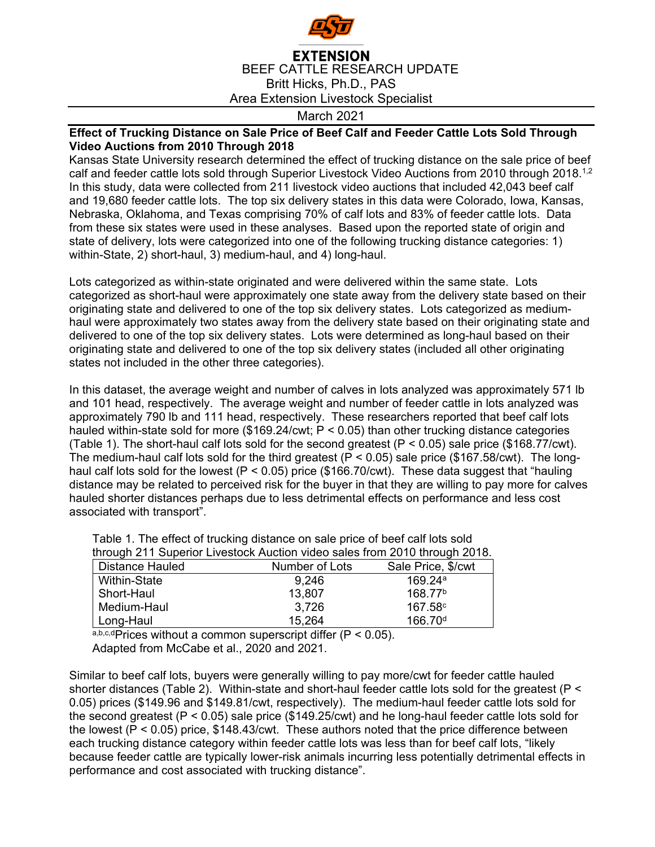

## **EXTENSION** BEEF CATTLE RESEARCH UPDATE Britt Hicks, Ph.D., PAS Area Extension Livestock Specialist

March 2021

## **Effect of Trucking Distance on Sale Price of Beef Calf and Feeder Cattle Lots Sold Through Video Auctions from 2010 Through 2018**

Kansas State University research determined the effect of trucking distance on the sale price of beef calf and feeder cattle lots sold through Superior Livestock Video Auctions from 2010 through 2018.<sup>1,2</sup> In this study, data were collected from 211 livestock video auctions that included 42,043 beef calf and 19,680 feeder cattle lots. The top six delivery states in this data were Colorado, Iowa, Kansas, Nebraska, Oklahoma, and Texas comprising 70% of calf lots and 83% of feeder cattle lots. Data from these six states were used in these analyses. Based upon the reported state of origin and state of delivery, lots were categorized into one of the following trucking distance categories: 1) within-State, 2) short-haul, 3) medium-haul, and 4) long-haul.

Lots categorized as within-state originated and were delivered within the same state. Lots categorized as short-haul were approximately one state away from the delivery state based on their originating state and delivered to one of the top six delivery states. Lots categorized as mediumhaul were approximately two states away from the delivery state based on their originating state and delivered to one of the top six delivery states. Lots were determined as long-haul based on their originating state and delivered to one of the top six delivery states (included all other originating states not included in the other three categories).

In this dataset, the average weight and number of calves in lots analyzed was approximately 571 lb and 101 head, respectively. The average weight and number of feeder cattle in lots analyzed was approximately 790 lb and 111 head, respectively. These researchers reported that beef calf lots hauled within-state sold for more (\$169.24/cwt;  $P < 0.05$ ) than other trucking distance categories (Table 1). The short-haul calf lots sold for the second greatest ( $P < 0.05$ ) sale price (\$168.77/cwt). The medium-haul calf lots sold for the third greatest ( $P < 0.05$ ) sale price (\$167.58/cwt). The longhaul calf lots sold for the lowest (P < 0.05) price (\$166.70/cwt). These data suggest that "hauling distance may be related to perceived risk for the buyer in that they are willing to pay more for calves hauled shorter distances perhaps due to less detrimental effects on performance and less cost associated with transport".

| Table 1. The effect of trucking uistance on sale price of beer can lots sold |                |                     |  |
|------------------------------------------------------------------------------|----------------|---------------------|--|
| through 211 Superior Livestock Auction video sales from 2010 through 2018.   |                |                     |  |
| Distance Hauled                                                              | Number of Lots | Sale Price, \$/cwt  |  |
| Within-State                                                                 | 9,246          | 169.24a             |  |
| Short-Haul                                                                   | 13,807         | 168.77 <sup>b</sup> |  |
| Medium-Haul                                                                  | 3,726          | 167.58c             |  |
| Long-Haul                                                                    | 15,264         | 166.70 <sup>d</sup> |  |

Table 1. The effect of trucking distance on sale price of beef calf lots sold

a,b,c,dPrices without a common superscript differ  $(P < 0.05)$ . Adapted from McCabe et al., 2020 and 2021.

Similar to beef calf lots, buyers were generally willing to pay more/cwt for feeder cattle hauled shorter distances (Table 2). Within-state and short-haul feeder cattle lots sold for the greatest (P < 0.05) prices (\$149.96 and \$149.81/cwt, respectively). The medium-haul feeder cattle lots sold for the second greatest (P < 0.05) sale price (\$149.25/cwt) and he long-haul feeder cattle lots sold for the lowest ( $P < 0.05$ ) price, \$148.43/cwt. These authors noted that the price difference between each trucking distance category within feeder cattle lots was less than for beef calf lots, "likely because feeder cattle are typically lower-risk animals incurring less potentially detrimental effects in performance and cost associated with trucking distance".